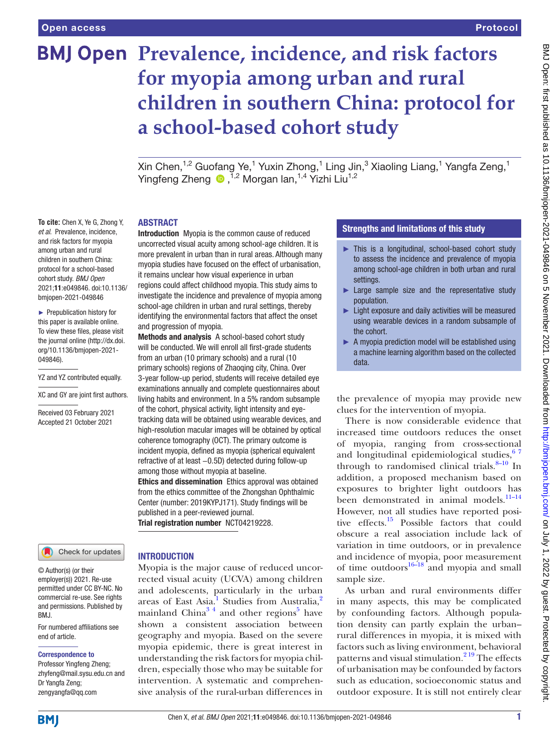**To cite:** Chen X, Ye G, Zhong Y, *et al*. Prevalence, incidence, and risk factors for myopia among urban and rural children in southern China: protocol for a school-based cohort study. *BMJ Open* 2021;11:e049846. doi:10.1136/ bmjopen-2021-049846 ► Prepublication history for this paper is available online. To view these files, please visit the journal online [\(http://dx.doi.](http://dx.doi.org/10.1136/bmjopen-2021-049846) [org/10.1136/bmjopen-2021-](http://dx.doi.org/10.1136/bmjopen-2021-049846)

[049846\)](http://dx.doi.org/10.1136/bmjopen-2021-049846).

YZ and YZ contributed equally. XC and GY are joint first authors. Received 03 February 2021 Accepted 21 October 2021

# **BMJ Open Prevalence, incidence, and risk factors for myopia among urban and rural children in southern China: protocol for a school-based cohort study**

Xin Chen, $^{1,2}$  Guofang Ye, $^{1}$  Yuxin Zhong, $^{1}$  Ling Jin, $^{3}$  Xiaoling Liang, $^{1}$  Yangfa Zeng, $^{1}$ YingfengZheng <sup>n,2</sup> Morgan lan,<sup>1,4</sup> Yizhi Liu<sup>1,2</sup>

#### ABSTRACT

Introduction Myopia is the common cause of reduced uncorrected visual acuity among school-age children. It is more prevalent in urban than in rural areas. Although many myopia studies have focused on the effect of urbanisation, it remains unclear how visual experience in urban regions could affect childhood myopia. This study aims to investigate the incidence and prevalence of myopia among school-age children in urban and rural settings, thereby identifying the environmental factors that affect the onset and progression of myopia.

Methods and analysis A school-based cohort study will be conducted. We will enroll all first-grade students from an urban (10 primary schools) and a rural (10 primary schools) regions of Zhaoqing city, China. Over 3-year follow-up period, students will receive detailed eye examinations annually and complete questionnaires about living habits and environment. In a 5% random subsample of the cohort, physical activity, light intensity and eyetracking data will be obtained using wearable devices, and high-resolution macular images will be obtained by optical coherence tomography (OCT). The primary outcome is incident myopia, defined as myopia (spherical equivalent refractive of at least −0.5D) detected during follow-up among those without myopia at baseline. Ethics and dissemination Ethics approval was obtained from the ethics committee of the Zhongshan Ophthalmic Center (number: 2019KYPJ171). Study findings will be published in a peer-reviewed journal.

Trial registration number <NCT04219228>.

# Check for updates

© Author(s) (or their employer(s)) 2021. Re-use permitted under CC BY-NC. No commercial re-use. See rights and permissions. Published by RM<sub>J</sub>

For numbered affiliations see end of article.

#### Correspondence to

Professor Yingfeng Zheng; zhyfeng@mail.sysu.edu.cn and Dr Yangfa Zeng; zengyangfa@qq.com

#### **INTRODUCTION**

Myopia is the major cause of reduced uncorrected visual acuity (UCVA) among children and adolescents, particularly in the urban areas of East Asia.<sup>[1](#page-5-0)</sup> Studies from Australia,<sup>[2](#page-5-1)</sup> mainland China<sup>34</sup> and other regions<sup>5</sup> have shown a consistent association between geography and myopia. Based on the severe myopia epidemic, there is great interest in understanding the risk factors for myopia children, especially those who may be suitable for intervention. A systematic and comprehensive analysis of the rural-urban differences in

# Strengths and limitations of this study

- ► This is a longitudinal, school-based cohort study to assess the incidence and prevalence of myopia among school-age children in both urban and rural settings.
- ► Large sample size and the representative study population.
- Light exposure and daily activities will be measured using wearable devices in a random subsample of the cohort.
- ► A myopia prediction model will be established using a machine learning algorithm based on the collected data.

the prevalence of myopia may provide new clues for the intervention of myopia.

There is now considerable evidence that increased time outdoors reduces the onset of myopia, ranging from cross-sectional and longitudinal epidemiological studies,  $67$ through to randomised clinical trials. $8-10$  In addition, a proposed mechanism based on exposures to brighter light outdoors has been demonstrated in animal models.<sup>11-14</sup> However, not all studies have reported positive effects.<sup>15</sup> Possible factors that could obscure a real association include lack of variation in time outdoors, or in prevalence and incidence of myopia, poor measurement of time outdoors $16-\frac{18}{18}$  and myopia and small sample size.

As urban and rural environments differ in many aspects, this may be complicated by confounding factors. Although population density can partly explain the urban– rural differences in myopia, it is mixed with factors such as living environment, behavioral patterns and visual stimulation.<sup>2 19</sup> The effects of urbanisation may be confounded by factors such as education, socioeconomic status and outdoor exposure. It is still not entirely clear

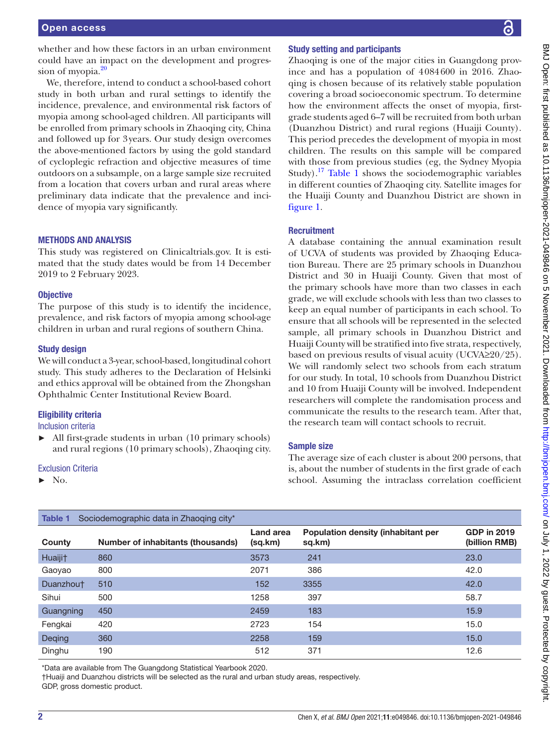We, therefore, intend to conduct a school-based cohort study in both urban and rural settings to identify the incidence, prevalence, and environmental risk factors of myopia among school-aged children. All participants will be enrolled from primary schools in Zhaoqing city, China and followed up for 3years. Our study design overcomes the above-mentioned factors by using the gold standard of cycloplegic refraction and objective measures of time outdoors on a subsample, on a large sample size recruited from a location that covers urban and rural areas where preliminary data indicate that the prevalence and incidence of myopia vary significantly.

# METHODS AND ANALYSIS

This study was registered on Clinicaltrials.gov. It is estimated that the study dates would be from 14 December 2019 to 2 February 2023.

# **Objective**

The purpose of this study is to identify the incidence, prevalence, and risk factors of myopia among school-age children in urban and rural regions of southern China.

# Study design

We will conduct a 3-year, school-based, longitudinal cohort study. This study adheres to the Declaration of Helsinki and ethics approval will be obtained from the Zhongshan Ophthalmic Center Institutional Review Board.

# Eligibility criteria

Inclusion criteria

► All first-grade students in urban (10 primary schools) and rural regions (10 primary schools), Zhaoqing city.

## Exclusion Criteria

 $\blacktriangleright$  No.

# Study setting and participants

Zhaoqing is one of the major cities in Guangdong province and has a population of 4084600 in 2016. Zhaoqing is chosen because of its relatively stable population covering a broad socioeconomic spectrum. To determine how the environment affects the onset of myopia, firstgrade students aged 6–7 will be recruited from both urban (Duanzhou District) and rural regions (Huaiji County). This period precedes the development of myopia in most children. The results on this sample will be compared with those from previous studies (eg, the Sydney Myopia Study).<sup>17</sup> [Table](#page-1-0) 1 shows the sociodemographic variables in different counties of Zhaoqing city. Satellite images for the Huaiji County and Duanzhou District are shown in [figure](#page-2-0) 1.

# **Recruitment**

A database containing the annual examination result of UCVA of students was provided by Zhaoqing Education Bureau. There are 25 primary schools in Duanzhou District and 30 in Huaiji County. Given that most of the primary schools have more than two classes in each grade, we will exclude schools with less than two classes to keep an equal number of participants in each school. To ensure that all schools will be represented in the selected sample, all primary schools in Duanzhou District and Huaiji County will be stratified into five strata, respectively, based on previous results of visual acuity (UCVA≥20/25). We will randomly select two schools from each stratum for our study. In total, 10 schools from Duanzhou District and 10 from Huaiji County will be involved. Independent researchers will complete the randomisation process and communicate the results to the research team. After that, the research team will contact schools to recruit.

# Sample size

The average size of each cluster is about 200 persons, that is, about the number of students in the first grade of each school. Assuming the intraclass correlation coefficient

<span id="page-1-0"></span>

| Sociodemographic data in Zhaoging city*<br>Table 1 |                                   |                      |                                              |                                     |
|----------------------------------------------------|-----------------------------------|----------------------|----------------------------------------------|-------------------------------------|
| County                                             | Number of inhabitants (thousands) | Land area<br>(sq.km) | Population density (inhabitant per<br>sq.km) | <b>GDP in 2019</b><br>(billion RMB) |
| Huaiji <sup>+</sup>                                | 860                               | 3573                 | 241                                          | 23.0                                |
| Gaoyao                                             | 800                               | 2071                 | 386                                          | 42.0                                |
| Duanzhout                                          | 510                               | 152                  | 3355                                         | 42.0                                |
| Sihui                                              | 500                               | 1258                 | 397                                          | 58.7                                |
| Guangning                                          | 450                               | 2459                 | 183                                          | 15.9                                |
| Fengkai                                            | 420                               | 2723                 | 154                                          | 15.0                                |
| Deqing                                             | 360                               | 2258                 | 159                                          | 15.0                                |
| Dinghu                                             | 190                               | 512                  | 371                                          | 12.6                                |

\*Data are available from The Guangdong Statistical Yearbook 2020.

†Huaiji and Duanzhou districts will be selected as the rural and urban study areas, respectively.

GDP, gross domestic product.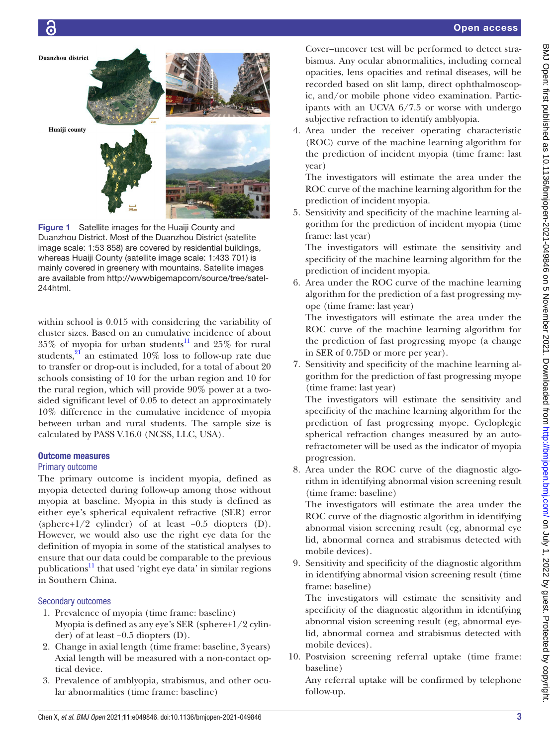

<span id="page-2-0"></span>Figure 1 Satellite images for the Huaiji County and Duanzhou District. Most of the Duanzhou District (satellite image scale: 1:53 858) are covered by residential buildings, whereas Huaiji County (satellite image scale: 1:433 701) is mainly covered in greenery with mountains. Satellite images are available from [http://wwwbigemapcom/source/tree/satel-](http://wwwbigemapcom/source/tree/satel-244html)[244html](http://wwwbigemapcom/source/tree/satel-244html).

within school is 0.015 with considering the variability of cluster sizes. Based on an cumulative incidence of about  $35\%$  of myopia for urban students<sup>11</sup> and  $25\%$  for rural students, $21$  an estimated 10% loss to follow-up rate due to transfer or drop-out is included, for a total of about 20 schools consisting of 10 for the urban region and 10 for the rural region, which will provide 90% power at a twosided significant level of 0.05 to detect an approximately 10% difference in the cumulative incidence of myopia between urban and rural students. The sample size is calculated by PASS V.16.0 (NCSS, LLC, USA).

# Outcome measures

# Primary outcome

The primary outcome is incident myopia, defined as myopia detected during follow-up among those without myopia at baseline. Myopia in this study is defined as either eye's spherical equivalent refractive (SER) error (sphere+1/2 cylinder) of at least −0.5 diopters (D). However, we would also use the right eye data for the definition of myopia in some of the statistical analyses to ensure that our data could be comparable to the previous publications<sup>11</sup> that used 'right eye data' in similar regions in Southern China.

# Secondary outcomes

- 1. Prevalence of myopia (time frame: baseline) Myopia is defined as any eye's SER (sphere+1/2 cylinder) of at least −0.5 diopters (D).
- 2. Change in axial length (time frame: baseline, 3years) Axial length will be measured with a non-contact optical device.
- 3. Prevalence of amblyopia, strabismus, and other ocular abnormalities (time frame: baseline)

Cover–uncover test will be performed to detect strabismus. Any ocular abnormalities, including corneal opacities, lens opacities and retinal diseases, will be recorded based on slit lamp, direct ophthalmoscopic, and/or mobile phone video examination. Participants with an UCVA 6/7.5 or worse with undergo subjective refraction to identify amblyopia.

4. Area under the receiver operating characteristic (ROC) curve of the machine learning algorithm for the prediction of incident myopia (time frame: last year)

The investigators will estimate the area under the ROC curve of the machine learning algorithm for the prediction of incident myopia.

5. Sensitivity and specificity of the machine learning algorithm for the prediction of incident myopia (time frame: last year)

The investigators will estimate the sensitivity and specificity of the machine learning algorithm for the prediction of incident myopia.

6. Area under the ROC curve of the machine learning algorithm for the prediction of a fast progressing myope (time frame: last year)

The investigators will estimate the area under the ROC curve of the machine learning algorithm for the prediction of fast progressing myope (a change in SER of 0.75D or more per year).

7. Sensitivity and specificity of the machine learning algorithm for the prediction of fast progressing myope (time frame: last year)

The investigators will estimate the sensitivity and specificity of the machine learning algorithm for the prediction of fast progressing myope. Cycloplegic spherical refraction changes measured by an autorefractometer will be used as the indicator of myopia progression.

8. Area under the ROC curve of the diagnostic algorithm in identifying abnormal vision screening result (time frame: baseline)

The investigators will estimate the area under the ROC curve of the diagnostic algorithm in identifying abnormal vision screening result (eg, abnormal eye lid, abnormal cornea and strabismus detected with mobile devices).

9. Sensitivity and specificity of the diagnostic algorithm in identifying abnormal vision screening result (time frame: baseline)

The investigators will estimate the sensitivity and specificity of the diagnostic algorithm in identifying abnormal vision screening result (eg, abnormal eyelid, abnormal cornea and strabismus detected with mobile devices).

10. Postvision screening referral uptake (time frame: baseline)

Any referral uptake will be confirmed by telephone follow-up.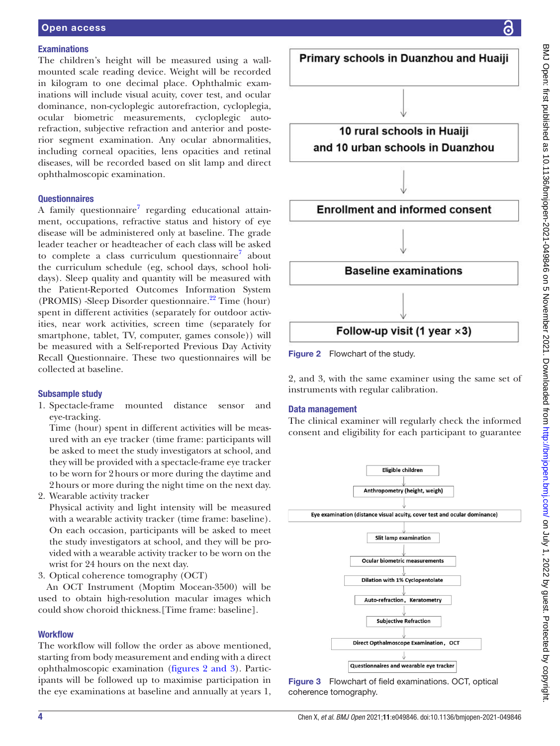#### **Examinations**

The children's height will be measured using a wallmounted scale reading device. Weight will be recorded in kilogram to one decimal place. Ophthalmic examinations will include visual acuity, cover test, and ocular dominance, non-cycloplegic autorefraction, cycloplegia, ocular biometric measurements, cycloplegic autorefraction, subjective refraction and anterior and posterior segment examination. Any ocular abnormalities, including corneal opacities, lens opacities and retinal diseases, will be recorded based on slit lamp and direct ophthalmoscopic examination.

#### **Questionnaires**

A family questionnaire<sup>[7](#page-5-12)</sup> regarding educational attainment, occupations, refractive status and history of eye disease will be administered only at baseline. The grade leader teacher or headteacher of each class will be asked to complete a class curriculum questionnaire<sup>[7](#page-5-12)</sup> about the curriculum schedule (eg, school days, school holidays). Sleep quality and quantity will be measured with the Patient-Reported Outcomes Information System (PROMIS) -Sleep Disorder questionnaire.<sup>22</sup> Time (hour) spent in different activities (separately for outdoor activities, near work activities, screen time (separately for smartphone, tablet, TV, computer, games console)) will be measured with a Self-reported Previous Day Activity Recall Questionnaire. These two questionnaires will be collected at baseline.

# Subsample study

1. Spectacle-frame mounted distance sensor and eye-tracking.

Time (hour) spent in different activities will be measured with an eye tracker (time frame: participants will be asked to meet the study investigators at school, and they will be provided with a spectacle-frame eye tracker to be worn for 2hours or more during the daytime and 2hours or more during the night time on the next day.

2. Wearable activity tracker

Physical activity and light intensity will be measured with a wearable activity tracker (time frame: baseline). On each occasion, participants will be asked to meet the study investigators at school, and they will be provided with a wearable activity tracker to be worn on the wrist for 24 hours on the next day.

3. Optical coherence tomography (OCT)

An OCT Instrument (Moptim Mocean-3500) will be used to obtain high-resolution macular images which could show choroid thickness.[Time frame: baseline].

## **Workflow**

The workflow will follow the order as above mentioned, starting from body measurement and ending with a direct ophthalmoscopic examination (figures [2 and 3](#page-3-0)). Participants will be followed up to maximise participation in the eye examinations at baseline and annually at years 1,



<span id="page-3-0"></span>2, and 3, with the same examiner using the same set of instruments with regular calibration.

#### Data management

The clinical examiner will regularly check the informed consent and eligibility for each participant to guarantee



Figure 3 Flowchart of field examinations. OCT, optical coherence tomography.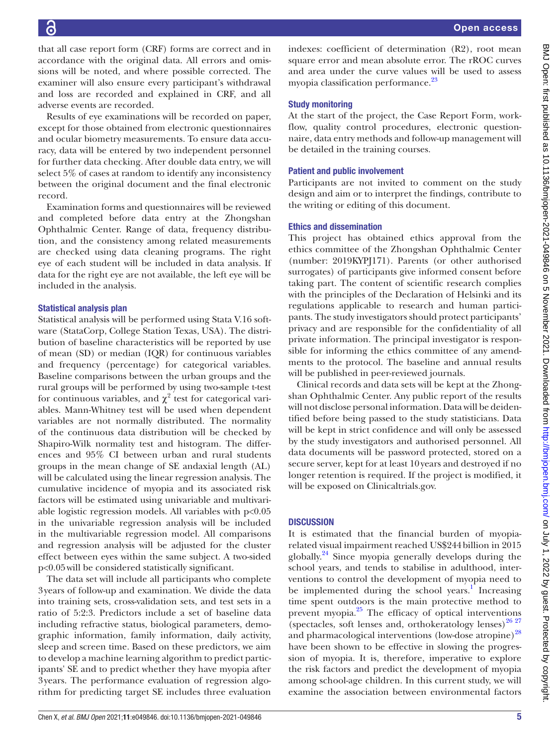that all case report form (CRF) forms are correct and in accordance with the original data. All errors and omissions will be noted, and where possible corrected. The examiner will also ensure every participant's withdrawal and loss are recorded and explained in CRF, and all adverse events are recorded.

Results of eye examinations will be recorded on paper, except for those obtained from electronic questionnaires and ocular biometry measurements. To ensure data accuracy, data will be entered by two independent personnel for further data checking. After double data entry, we will select 5% of cases at random to identify any inconsistency between the original document and the final electronic record.

Examination forms and questionnaires will be reviewed and completed before data entry at the Zhongshan Ophthalmic Center. Range of data, frequency distribution, and the consistency among related measurements are checked using data cleaning programs. The right eye of each student will be included in data analysis. If data for the right eye are not available, the left eye will be included in the analysis.

#### Statistical analysis plan

Statistical analysis will be performed using Stata V.16 software (StataCorp, College Station Texas, USA). The distribution of baseline characteristics will be reported by use of mean (SD) or median (IQR) for continuous variables and frequency (percentage) for categorical variables. Baseline comparisons between the urban groups and the rural groups will be performed by using two-sample t-test for continuous variables, and  $\chi^2$  test for categorical variables. Mann-Whitney test will be used when dependent variables are not normally distributed. The normality of the continuous data distribution will be checked by Shapiro-Wilk normality test and histogram. The differences and 95% CI between urban and rural students groups in the mean change of SE andaxial length (AL) will be calculated using the linear regression analysis. The cumulative incidence of myopia and its associated risk factors will be estimated using univariable and multivariable logistic regression models. All variables with p<0.05 in the univariable regression analysis will be included in the multivariable regression model. All comparisons and regression analysis will be adjusted for the cluster effect between eyes within the same subject. A two-sided p<0.05will be considered statistically significant.

The data set will include all participants who complete 3years of follow-up and examination. We divide the data into training sets, cross-validation sets, and test sets in a ratio of 5:2:3. Predictors include a set of baseline data including refractive status, biological parameters, demographic information, family information, daily activity, sleep and screen time. Based on these predictors, we aim to develop a machine learning algorithm to predict participants' SE and to predict whether they have myopia after 3years. The performance evaluation of regression algorithm for predicting target SE includes three evaluation

indexes: coefficient of determination (R2), root mean square error and mean absolute error. The rROC curves and area under the curve values will be used to assess myopia classification performance.<sup>[23](#page-5-14)</sup>

## Study monitoring

At the start of the project, the Case Report Form, workflow, quality control procedures, electronic questionnaire, data entry methods and follow-up management will be detailed in the training courses.

## Patient and public involvement

Participants are not invited to comment on the study design and aim or to interpret the findings, contribute to the writing or editing of this document.

## Ethics and dissemination

This project has obtained ethics approval from the ethics committee of the Zhongshan Ophthalmic Center (number: 2019KYPJ171). Parents (or other authorised surrogates) of participants give informed consent before taking part. The content of scientific research complies with the principles of the Declaration of Helsinki and its regulations applicable to research and human participants. The study investigators should protect participants' privacy and are responsible for the confidentiality of all private information. The principal investigator is responsible for informing the ethics committee of any amendments to the protocol. The baseline and annual results will be published in peer-reviewed journals.

Clinical records and data sets will be kept at the Zhongshan Ophthalmic Center. Any public report of the results will not disclose personal information. Data will be deidentified before being passed to the study statisticians. Data will be kept in strict confidence and will only be assessed by the study investigators and authorised personnel. All data documents will be password protected, stored on a secure server, kept for at least 10years and destroyed if no longer retention is required. If the project is modified, it will be exposed on Clinicaltrials.gov.

#### **DISCUSSION**

It is estimated that the financial burden of myopiarelated visual impairment reached US\$244billion in 2015 globally. [24](#page-5-15) Since myopia generally develops during the school years, and tends to stabilise in adulthood, interventions to control the development of myopia need to be implemented during the school years.<sup>[1](#page-5-0)</sup> Increasing time spent outdoors is the main protective method to prevent myopia. $^{25}$  The efficacy of optical interventions (spectacles, soft lenses and, orthokeratology lenses) $^{26\ 27}$ and pharmacological interventions (low-dose atropine)<sup>[28](#page-5-18)</sup> have been shown to be effective in slowing the progression of myopia. It is, therefore, imperative to explore the risk factors and predict the development of myopia among school-age children. In this current study, we will examine the association between environmental factors